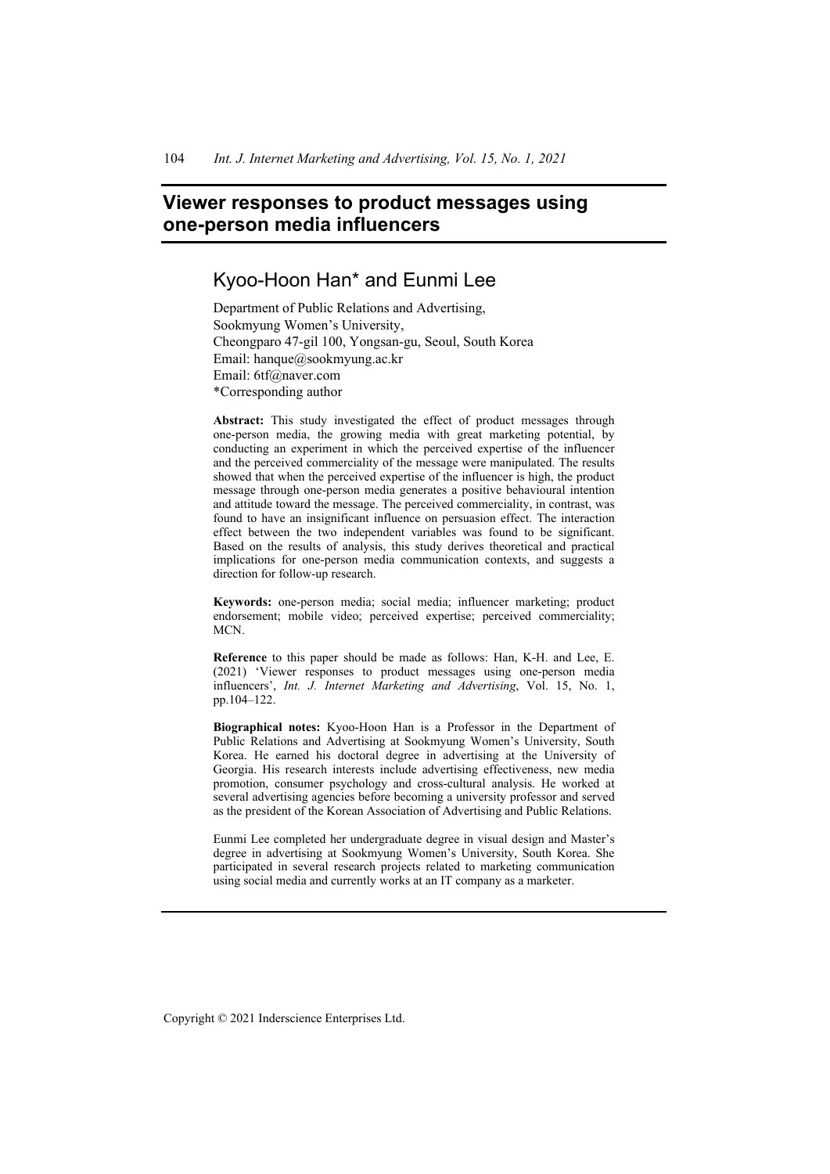# **Viewer responses to product messages using one-person media influencers**

# Kyoo-Hoon Han\* and Eunmi Lee

Department of Public Relations and Advertising, Sookmyung Women's University, Cheongparo 47-gil 100, Yongsan-gu, Seoul, South Korea Email: hanque@sookmyung.ac.kr Email: 6tf@naver.com \*Corresponding author

**Abstract:** This study investigated the effect of product messages through one-person media, the growing media with great marketing potential, by conducting an experiment in which the perceived expertise of the influencer and the perceived commerciality of the message were manipulated. The results showed that when the perceived expertise of the influencer is high, the product message through one-person media generates a positive behavioural intention and attitude toward the message. The perceived commerciality, in contrast, was found to have an insignificant influence on persuasion effect. The interaction effect between the two independent variables was found to be significant. Based on the results of analysis, this study derives theoretical and practical implications for one-person media communication contexts, and suggests a direction for follow-up research.

**Keywords:** one-person media; social media; influencer marketing; product endorsement; mobile video; perceived expertise; perceived commerciality; MCN.

**Reference** to this paper should be made as follows: Han, K-H. and Lee, E. (2021) 'Viewer responses to product messages using one-person media influencers', *Int. J. Internet Marketing and Advertising*, Vol. 15, No. 1, pp.104–122.

**Biographical notes:** Kyoo-Hoon Han is a Professor in the Department of Public Relations and Advertising at Sookmyung Women's University, South Korea. He earned his doctoral degree in advertising at the University of Georgia. His research interests include advertising effectiveness, new media promotion, consumer psychology and cross-cultural analysis. He worked at several advertising agencies before becoming a university professor and served as the president of the Korean Association of Advertising and Public Relations.

Eunmi Lee completed her undergraduate degree in visual design and Master's degree in advertising at Sookmyung Women's University, South Korea. She participated in several research projects related to marketing communication using social media and currently works at an IT company as a marketer.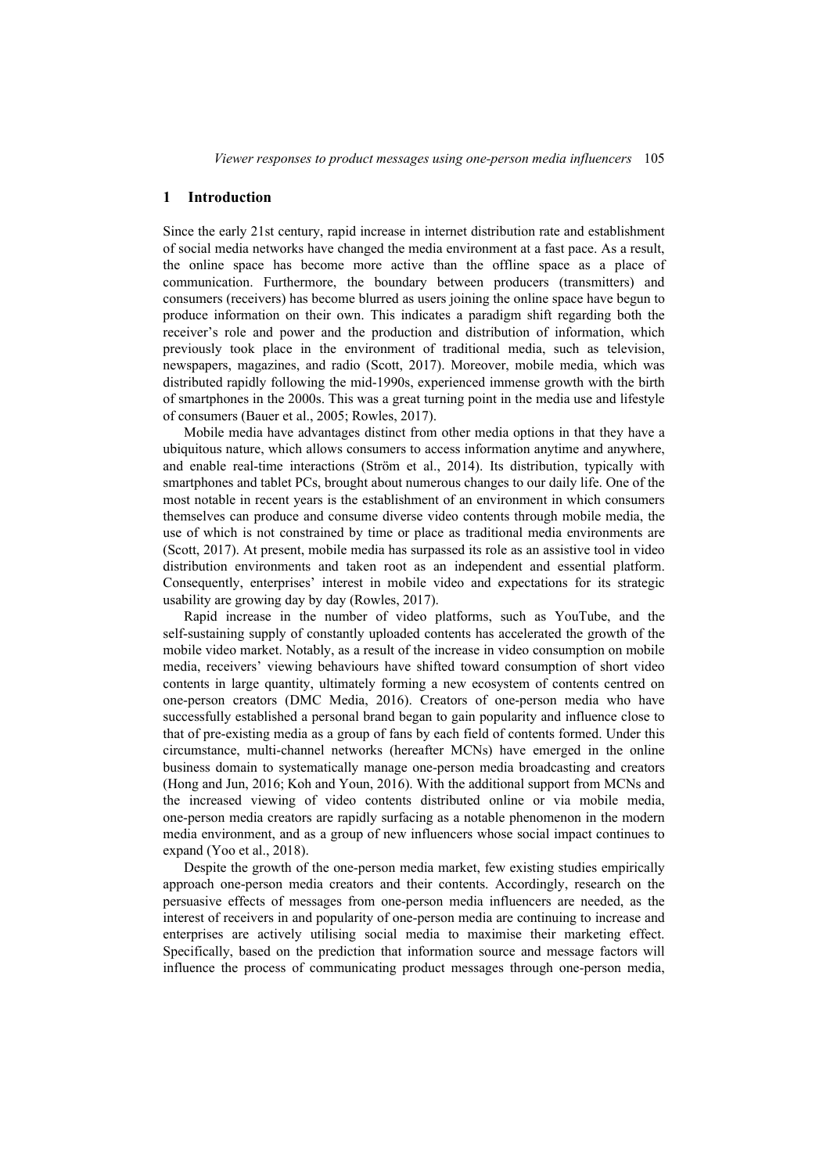### **1 Introduction**

Since the early 21st century, rapid increase in internet distribution rate and establishment of social media networks have changed the media environment at a fast pace. As a result, the online space has become more active than the offline space as a place of communication. Furthermore, the boundary between producers (transmitters) and consumers (receivers) has become blurred as users joining the online space have begun to produce information on their own. This indicates a paradigm shift regarding both the receiver's role and power and the production and distribution of information, which previously took place in the environment of traditional media, such as television, newspapers, magazines, and radio (Scott, 2017). Moreover, mobile media, which was distributed rapidly following the mid-1990s, experienced immense growth with the birth of smartphones in the 2000s. This was a great turning point in the media use and lifestyle of consumers (Bauer et al., 2005; Rowles, 2017).

Mobile media have advantages distinct from other media options in that they have a ubiquitous nature, which allows consumers to access information anytime and anywhere, and enable real-time interactions (Ström et al., 2014). Its distribution, typically with smartphones and tablet PCs, brought about numerous changes to our daily life. One of the most notable in recent years is the establishment of an environment in which consumers themselves can produce and consume diverse video contents through mobile media, the use of which is not constrained by time or place as traditional media environments are (Scott, 2017). At present, mobile media has surpassed its role as an assistive tool in video distribution environments and taken root as an independent and essential platform. Consequently, enterprises' interest in mobile video and expectations for its strategic usability are growing day by day (Rowles, 2017).

Rapid increase in the number of video platforms, such as YouTube, and the self-sustaining supply of constantly uploaded contents has accelerated the growth of the mobile video market. Notably, as a result of the increase in video consumption on mobile media, receivers' viewing behaviours have shifted toward consumption of short video contents in large quantity, ultimately forming a new ecosystem of contents centred on one-person creators (DMC Media, 2016). Creators of one-person media who have successfully established a personal brand began to gain popularity and influence close to that of pre-existing media as a group of fans by each field of contents formed. Under this circumstance, multi-channel networks (hereafter MCNs) have emerged in the online business domain to systematically manage one-person media broadcasting and creators (Hong and Jun, 2016; Koh and Youn, 2016). With the additional support from MCNs and the increased viewing of video contents distributed online or via mobile media, one-person media creators are rapidly surfacing as a notable phenomenon in the modern media environment, and as a group of new influencers whose social impact continues to expand (Yoo et al., 2018).

Despite the growth of the one-person media market, few existing studies empirically approach one-person media creators and their contents. Accordingly, research on the persuasive effects of messages from one-person media influencers are needed, as the interest of receivers in and popularity of one-person media are continuing to increase and enterprises are actively utilising social media to maximise their marketing effect. Specifically, based on the prediction that information source and message factors will influence the process of communicating product messages through one-person media,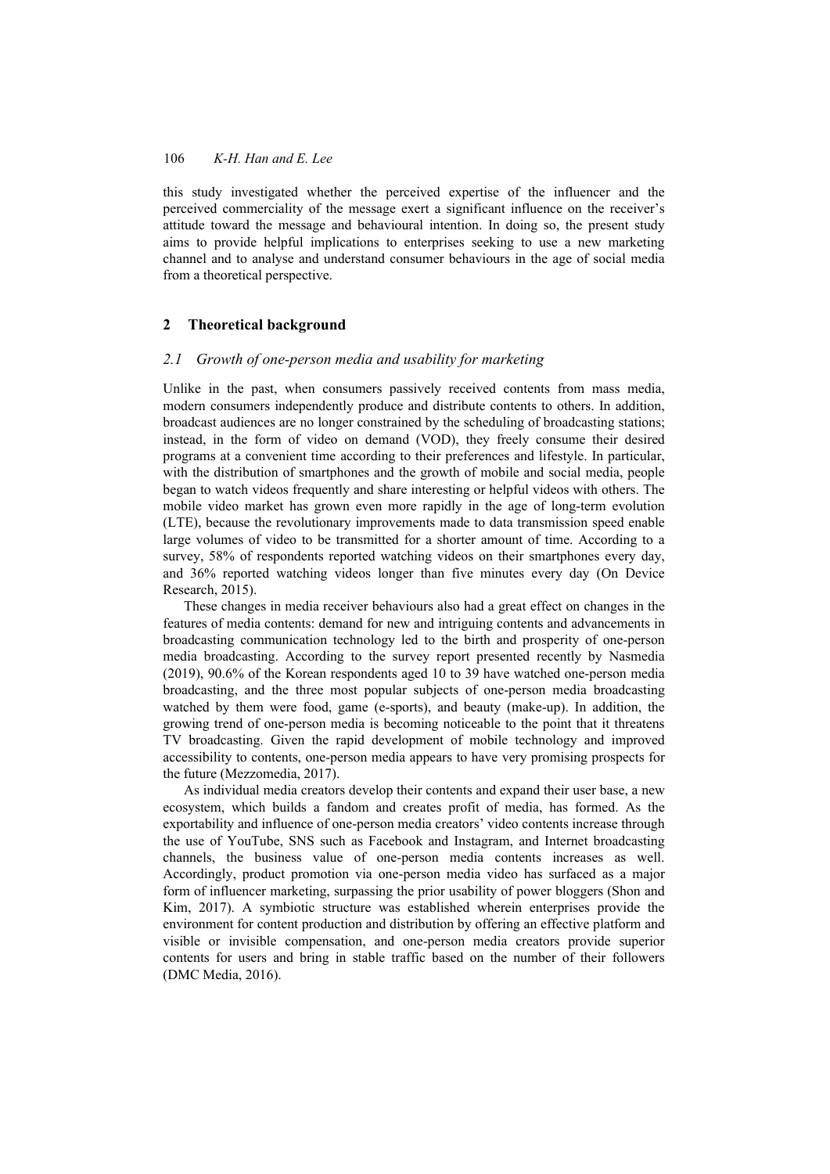this study investigated whether the perceived expertise of the influencer and the perceived commerciality of the message exert a significant influence on the receiver's attitude toward the message and behavioural intention. In doing so, the present study aims to provide helpful implications to enterprises seeking to use a new marketing channel and to analyse and understand consumer behaviours in the age of social media from a theoretical perspective.

### **2 Theoretical background**

### *2.1 Growth of one-person media and usability for marketing*

Unlike in the past, when consumers passively received contents from mass media, modern consumers independently produce and distribute contents to others. In addition, broadcast audiences are no longer constrained by the scheduling of broadcasting stations; instead, in the form of video on demand (VOD), they freely consume their desired programs at a convenient time according to their preferences and lifestyle. In particular, with the distribution of smartphones and the growth of mobile and social media, people began to watch videos frequently and share interesting or helpful videos with others. The mobile video market has grown even more rapidly in the age of long-term evolution (LTE), because the revolutionary improvements made to data transmission speed enable large volumes of video to be transmitted for a shorter amount of time. According to a survey, 58% of respondents reported watching videos on their smartphones every day, and 36% reported watching videos longer than five minutes every day (On Device Research, 2015).

These changes in media receiver behaviours also had a great effect on changes in the features of media contents: demand for new and intriguing contents and advancements in broadcasting communication technology led to the birth and prosperity of one-person media broadcasting. According to the survey report presented recently by Nasmedia (2019), 90.6% of the Korean respondents aged 10 to 39 have watched one-person media broadcasting, and the three most popular subjects of one-person media broadcasting watched by them were food, game (e-sports), and beauty (make-up). In addition, the growing trend of one-person media is becoming noticeable to the point that it threatens TV broadcasting. Given the rapid development of mobile technology and improved accessibility to contents, one-person media appears to have very promising prospects for the future (Mezzomedia, 2017).

As individual media creators develop their contents and expand their user base, a new ecosystem, which builds a fandom and creates profit of media, has formed. As the exportability and influence of one-person media creators' video contents increase through the use of YouTube, SNS such as Facebook and Instagram, and Internet broadcasting channels, the business value of one-person media contents increases as well. Accordingly, product promotion via one-person media video has surfaced as a major form of influencer marketing, surpassing the prior usability of power bloggers (Shon and Kim, 2017). A symbiotic structure was established wherein enterprises provide the environment for content production and distribution by offering an effective platform and visible or invisible compensation, and one-person media creators provide superior contents for users and bring in stable traffic based on the number of their followers (DMC Media, 2016).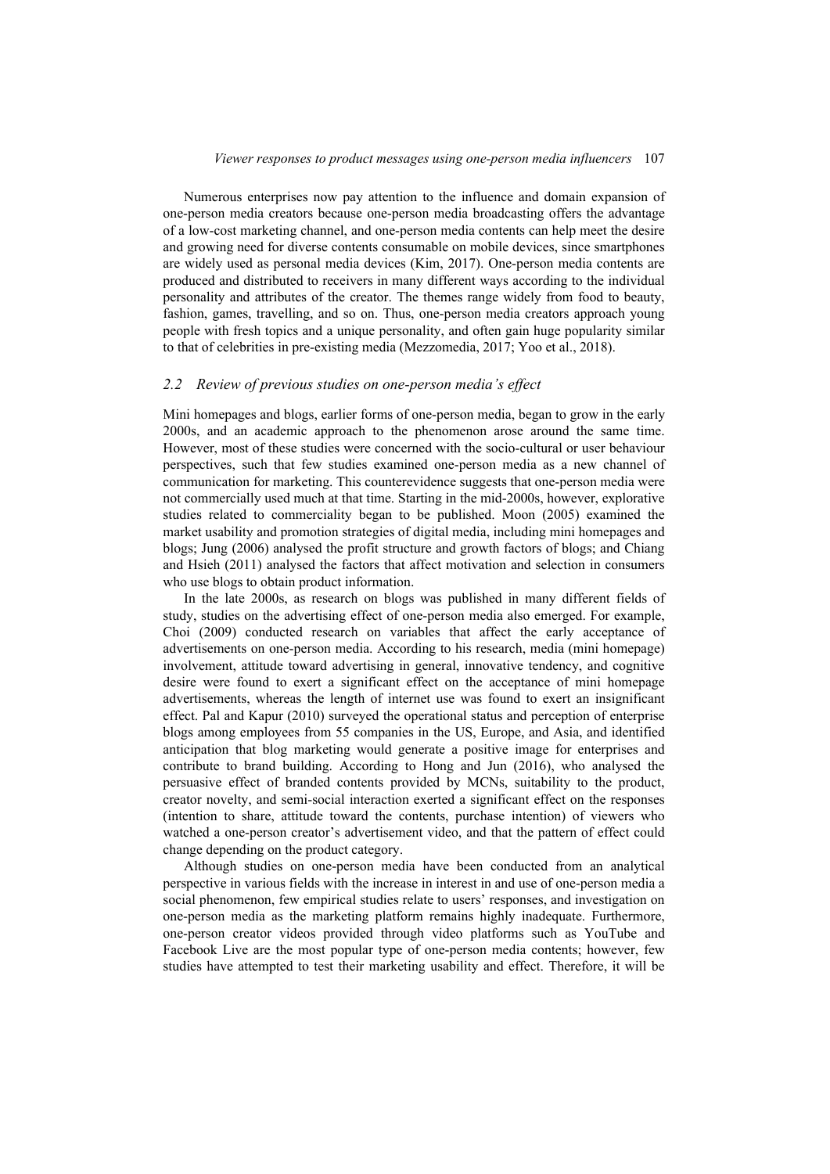Numerous enterprises now pay attention to the influence and domain expansion of one-person media creators because one-person media broadcasting offers the advantage of a low-cost marketing channel, and one-person media contents can help meet the desire and growing need for diverse contents consumable on mobile devices, since smartphones are widely used as personal media devices (Kim, 2017). One-person media contents are produced and distributed to receivers in many different ways according to the individual personality and attributes of the creator. The themes range widely from food to beauty, fashion, games, travelling, and so on. Thus, one-person media creators approach young people with fresh topics and a unique personality, and often gain huge popularity similar to that of celebrities in pre-existing media (Mezzomedia, 2017; Yoo et al., 2018).

#### *2.2 Review of previous studies on one-person media's effect*

Mini homepages and blogs, earlier forms of one-person media, began to grow in the early 2000s, and an academic approach to the phenomenon arose around the same time. However, most of these studies were concerned with the socio-cultural or user behaviour perspectives, such that few studies examined one-person media as a new channel of communication for marketing. This counterevidence suggests that one-person media were not commercially used much at that time. Starting in the mid-2000s, however, explorative studies related to commerciality began to be published. Moon (2005) examined the market usability and promotion strategies of digital media, including mini homepages and blogs; Jung (2006) analysed the profit structure and growth factors of blogs; and Chiang and Hsieh (2011) analysed the factors that affect motivation and selection in consumers who use blogs to obtain product information.

In the late 2000s, as research on blogs was published in many different fields of study, studies on the advertising effect of one-person media also emerged. For example, Choi (2009) conducted research on variables that affect the early acceptance of advertisements on one-person media. According to his research, media (mini homepage) involvement, attitude toward advertising in general, innovative tendency, and cognitive desire were found to exert a significant effect on the acceptance of mini homepage advertisements, whereas the length of internet use was found to exert an insignificant effect. Pal and Kapur (2010) surveyed the operational status and perception of enterprise blogs among employees from 55 companies in the US, Europe, and Asia, and identified anticipation that blog marketing would generate a positive image for enterprises and contribute to brand building. According to Hong and Jun (2016), who analysed the persuasive effect of branded contents provided by MCNs, suitability to the product, creator novelty, and semi-social interaction exerted a significant effect on the responses (intention to share, attitude toward the contents, purchase intention) of viewers who watched a one-person creator's advertisement video, and that the pattern of effect could change depending on the product category.

Although studies on one-person media have been conducted from an analytical perspective in various fields with the increase in interest in and use of one-person media a social phenomenon, few empirical studies relate to users' responses, and investigation on one-person media as the marketing platform remains highly inadequate. Furthermore, one-person creator videos provided through video platforms such as YouTube and Facebook Live are the most popular type of one-person media contents; however, few studies have attempted to test their marketing usability and effect. Therefore, it will be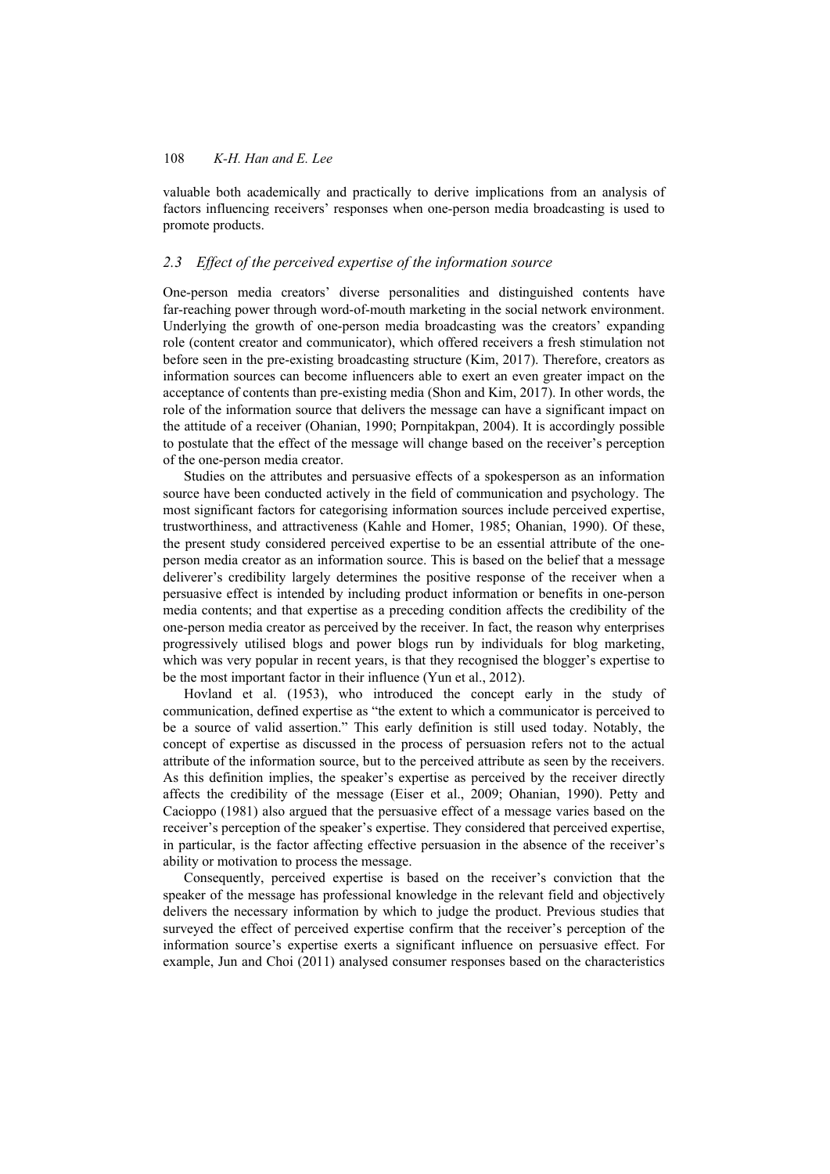valuable both academically and practically to derive implications from an analysis of factors influencing receivers' responses when one-person media broadcasting is used to promote products.

### *2.3 Effect of the perceived expertise of the information source*

One-person media creators' diverse personalities and distinguished contents have far-reaching power through word-of-mouth marketing in the social network environment. Underlying the growth of one-person media broadcasting was the creators' expanding role (content creator and communicator), which offered receivers a fresh stimulation not before seen in the pre-existing broadcasting structure (Kim, 2017). Therefore, creators as information sources can become influencers able to exert an even greater impact on the acceptance of contents than pre-existing media (Shon and Kim, 2017). In other words, the role of the information source that delivers the message can have a significant impact on the attitude of a receiver (Ohanian, 1990; Pornpitakpan, 2004). It is accordingly possible to postulate that the effect of the message will change based on the receiver's perception of the one-person media creator.

Studies on the attributes and persuasive effects of a spokesperson as an information source have been conducted actively in the field of communication and psychology. The most significant factors for categorising information sources include perceived expertise, trustworthiness, and attractiveness (Kahle and Homer, 1985; Ohanian, 1990). Of these, the present study considered perceived expertise to be an essential attribute of the oneperson media creator as an information source. This is based on the belief that a message deliverer's credibility largely determines the positive response of the receiver when a persuasive effect is intended by including product information or benefits in one-person media contents; and that expertise as a preceding condition affects the credibility of the one-person media creator as perceived by the receiver. In fact, the reason why enterprises progressively utilised blogs and power blogs run by individuals for blog marketing, which was very popular in recent years, is that they recognised the blogger's expertise to be the most important factor in their influence (Yun et al., 2012).

Hovland et al. (1953), who introduced the concept early in the study of communication, defined expertise as "the extent to which a communicator is perceived to be a source of valid assertion." This early definition is still used today. Notably, the concept of expertise as discussed in the process of persuasion refers not to the actual attribute of the information source, but to the perceived attribute as seen by the receivers. As this definition implies, the speaker's expertise as perceived by the receiver directly affects the credibility of the message (Eiser et al., 2009; Ohanian, 1990). Petty and Cacioppo (1981) also argued that the persuasive effect of a message varies based on the receiver's perception of the speaker's expertise. They considered that perceived expertise, in particular, is the factor affecting effective persuasion in the absence of the receiver's ability or motivation to process the message.

Consequently, perceived expertise is based on the receiver's conviction that the speaker of the message has professional knowledge in the relevant field and objectively delivers the necessary information by which to judge the product. Previous studies that surveyed the effect of perceived expertise confirm that the receiver's perception of the information source's expertise exerts a significant influence on persuasive effect. For example, Jun and Choi (2011) analysed consumer responses based on the characteristics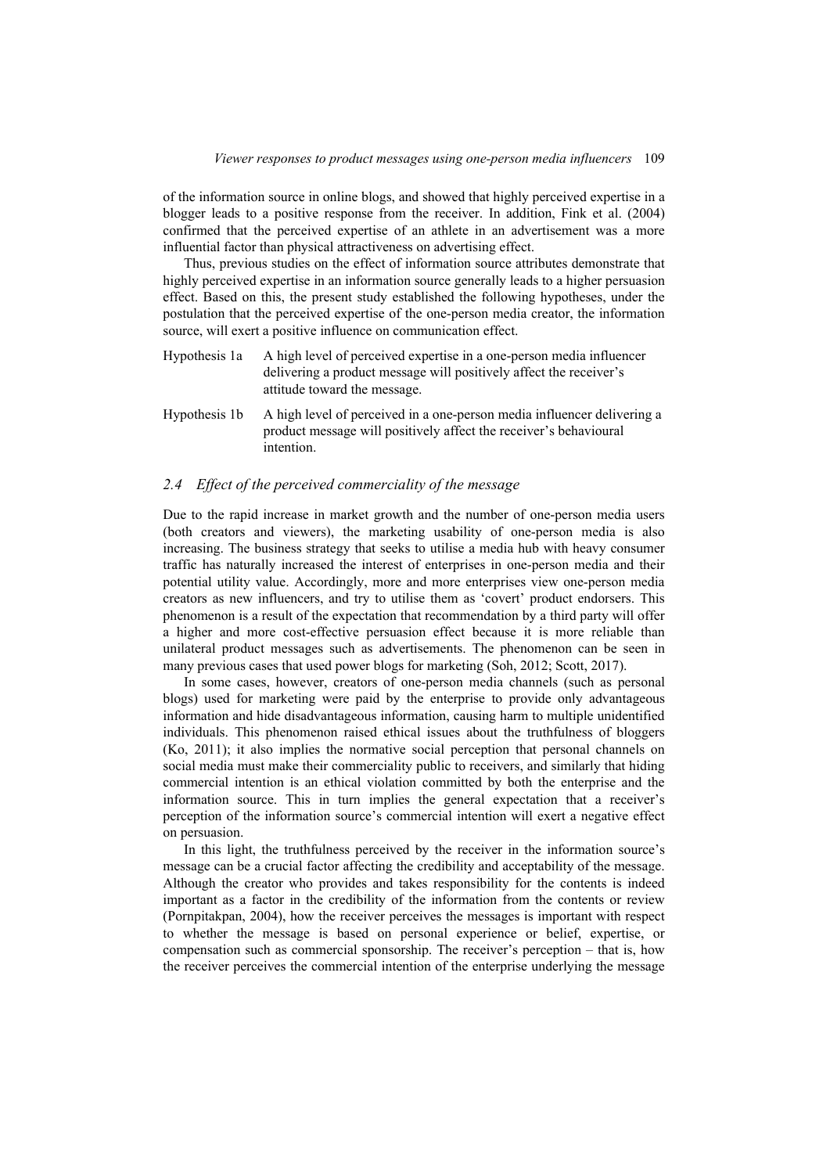of the information source in online blogs, and showed that highly perceived expertise in a blogger leads to a positive response from the receiver. In addition, Fink et al. (2004) confirmed that the perceived expertise of an athlete in an advertisement was a more influential factor than physical attractiveness on advertising effect.

Thus, previous studies on the effect of information source attributes demonstrate that highly perceived expertise in an information source generally leads to a higher persuasion effect. Based on this, the present study established the following hypotheses, under the postulation that the perceived expertise of the one-person media creator, the information source, will exert a positive influence on communication effect.

- Hypothesis 1a A high level of perceived expertise in a one-person media influencer delivering a product message will positively affect the receiver's attitude toward the message.
- Hypothesis 1b A high level of perceived in a one-person media influencer delivering a product message will positively affect the receiver's behavioural intention.

### *2.4 Effect of the perceived commerciality of the message*

Due to the rapid increase in market growth and the number of one-person media users (both creators and viewers), the marketing usability of one-person media is also increasing. The business strategy that seeks to utilise a media hub with heavy consumer traffic has naturally increased the interest of enterprises in one-person media and their potential utility value. Accordingly, more and more enterprises view one-person media creators as new influencers, and try to utilise them as 'covert' product endorsers. This phenomenon is a result of the expectation that recommendation by a third party will offer a higher and more cost-effective persuasion effect because it is more reliable than unilateral product messages such as advertisements. The phenomenon can be seen in many previous cases that used power blogs for marketing (Soh, 2012; Scott, 2017).

In some cases, however, creators of one-person media channels (such as personal blogs) used for marketing were paid by the enterprise to provide only advantageous information and hide disadvantageous information, causing harm to multiple unidentified individuals. This phenomenon raised ethical issues about the truthfulness of bloggers (Ko, 2011); it also implies the normative social perception that personal channels on social media must make their commerciality public to receivers, and similarly that hiding commercial intention is an ethical violation committed by both the enterprise and the information source. This in turn implies the general expectation that a receiver's perception of the information source's commercial intention will exert a negative effect on persuasion.

In this light, the truthfulness perceived by the receiver in the information source's message can be a crucial factor affecting the credibility and acceptability of the message. Although the creator who provides and takes responsibility for the contents is indeed important as a factor in the credibility of the information from the contents or review (Pornpitakpan, 2004), how the receiver perceives the messages is important with respect to whether the message is based on personal experience or belief, expertise, or compensation such as commercial sponsorship. The receiver's perception – that is, how the receiver perceives the commercial intention of the enterprise underlying the message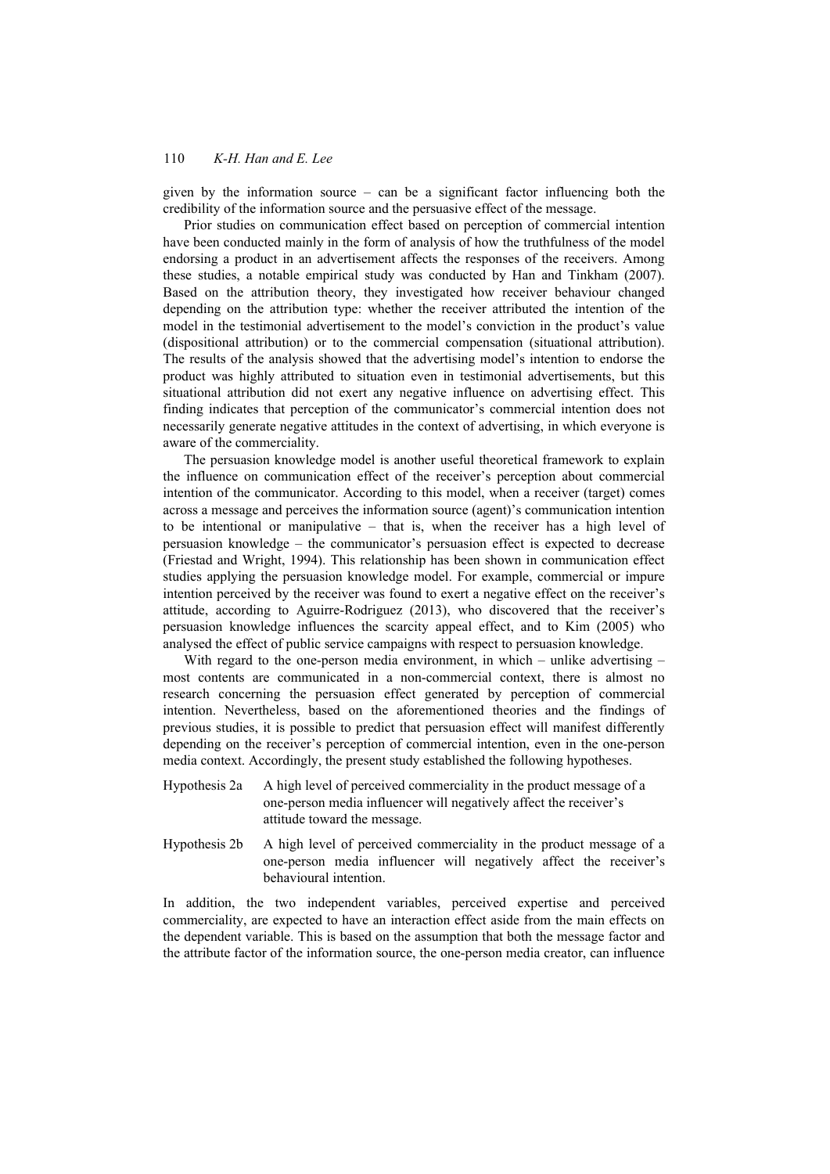given by the information source – can be a significant factor influencing both the credibility of the information source and the persuasive effect of the message.

Prior studies on communication effect based on perception of commercial intention have been conducted mainly in the form of analysis of how the truthfulness of the model endorsing a product in an advertisement affects the responses of the receivers. Among these studies, a notable empirical study was conducted by Han and Tinkham (2007). Based on the attribution theory, they investigated how receiver behaviour changed depending on the attribution type: whether the receiver attributed the intention of the model in the testimonial advertisement to the model's conviction in the product's value (dispositional attribution) or to the commercial compensation (situational attribution). The results of the analysis showed that the advertising model's intention to endorse the product was highly attributed to situation even in testimonial advertisements, but this situational attribution did not exert any negative influence on advertising effect. This finding indicates that perception of the communicator's commercial intention does not necessarily generate negative attitudes in the context of advertising, in which everyone is aware of the commerciality.

The persuasion knowledge model is another useful theoretical framework to explain the influence on communication effect of the receiver's perception about commercial intention of the communicator. According to this model, when a receiver (target) comes across a message and perceives the information source (agent)'s communication intention to be intentional or manipulative – that is, when the receiver has a high level of persuasion knowledge – the communicator's persuasion effect is expected to decrease (Friestad and Wright, 1994). This relationship has been shown in communication effect studies applying the persuasion knowledge model. For example, commercial or impure intention perceived by the receiver was found to exert a negative effect on the receiver's attitude, according to Aguirre-Rodriguez (2013), who discovered that the receiver's persuasion knowledge influences the scarcity appeal effect, and to Kim (2005) who analysed the effect of public service campaigns with respect to persuasion knowledge.

With regard to the one-person media environment, in which – unlike advertising – most contents are communicated in a non-commercial context, there is almost no research concerning the persuasion effect generated by perception of commercial intention. Nevertheless, based on the aforementioned theories and the findings of previous studies, it is possible to predict that persuasion effect will manifest differently depending on the receiver's perception of commercial intention, even in the one-person media context. Accordingly, the present study established the following hypotheses.

- Hypothesis 2a A high level of perceived commerciality in the product message of a one-person media influencer will negatively affect the receiver's attitude toward the message.
- Hypothesis 2b A high level of perceived commerciality in the product message of a one-person media influencer will negatively affect the receiver's behavioural intention.

In addition, the two independent variables, perceived expertise and perceived commerciality, are expected to have an interaction effect aside from the main effects on the dependent variable. This is based on the assumption that both the message factor and the attribute factor of the information source, the one-person media creator, can influence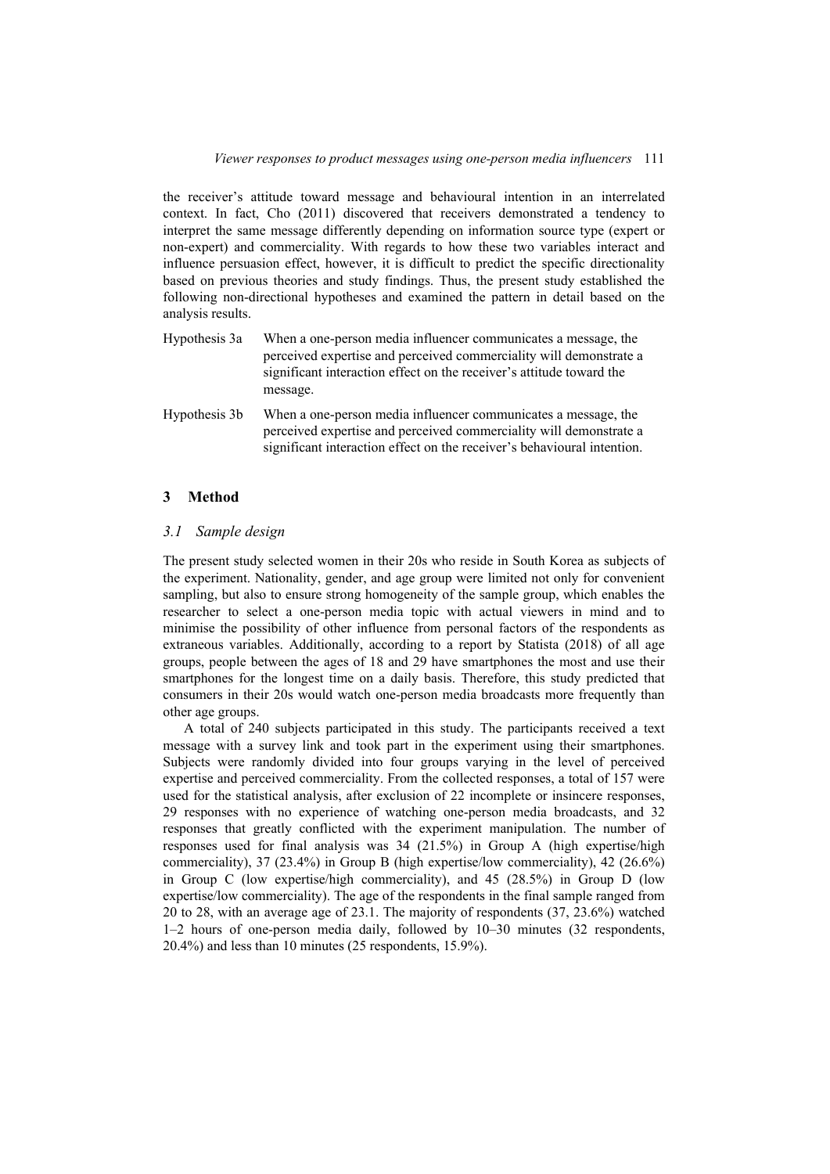the receiver's attitude toward message and behavioural intention in an interrelated context. In fact, Cho (2011) discovered that receivers demonstrated a tendency to interpret the same message differently depending on information source type (expert or non-expert) and commerciality. With regards to how these two variables interact and influence persuasion effect, however, it is difficult to predict the specific directionality based on previous theories and study findings. Thus, the present study established the following non-directional hypotheses and examined the pattern in detail based on the analysis results.

- Hypothesis 3a When a one-person media influencer communicates a message, the perceived expertise and perceived commerciality will demonstrate a significant interaction effect on the receiver's attitude toward the message.
- Hypothesis 3b When a one-person media influencer communicates a message, the perceived expertise and perceived commerciality will demonstrate a significant interaction effect on the receiver's behavioural intention.

### **3 Method**

### *3.1 Sample design*

The present study selected women in their 20s who reside in South Korea as subjects of the experiment. Nationality, gender, and age group were limited not only for convenient sampling, but also to ensure strong homogeneity of the sample group, which enables the researcher to select a one-person media topic with actual viewers in mind and to minimise the possibility of other influence from personal factors of the respondents as extraneous variables. Additionally, according to a report by Statista (2018) of all age groups, people between the ages of 18 and 29 have smartphones the most and use their smartphones for the longest time on a daily basis. Therefore, this study predicted that consumers in their 20s would watch one-person media broadcasts more frequently than other age groups.

A total of 240 subjects participated in this study. The participants received a text message with a survey link and took part in the experiment using their smartphones. Subjects were randomly divided into four groups varying in the level of perceived expertise and perceived commerciality. From the collected responses, a total of 157 were used for the statistical analysis, after exclusion of 22 incomplete or insincere responses, 29 responses with no experience of watching one-person media broadcasts, and 32 responses that greatly conflicted with the experiment manipulation. The number of responses used for final analysis was 34 (21.5%) in Group A (high expertise/high commerciality), 37 (23.4%) in Group B (high expertise/low commerciality), 42 (26.6%) in Group C (low expertise/high commerciality), and 45 (28.5%) in Group D (low expertise/low commerciality). The age of the respondents in the final sample ranged from 20 to 28, with an average age of 23.1. The majority of respondents (37, 23.6%) watched 1–2 hours of one-person media daily, followed by 10–30 minutes (32 respondents, 20.4%) and less than 10 minutes (25 respondents, 15.9%).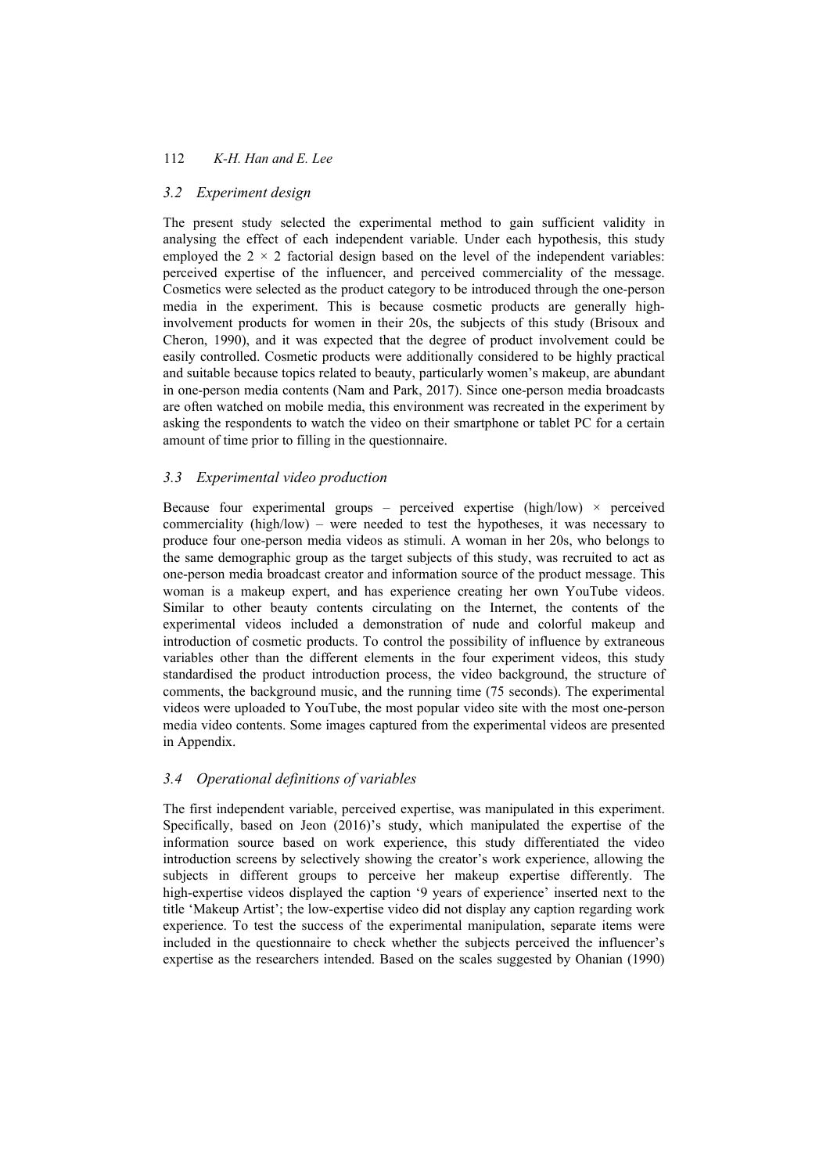### *3.2 Experiment design*

The present study selected the experimental method to gain sufficient validity in analysing the effect of each independent variable. Under each hypothesis, this study employed the  $2 \times 2$  factorial design based on the level of the independent variables: perceived expertise of the influencer, and perceived commerciality of the message. Cosmetics were selected as the product category to be introduced through the one-person media in the experiment. This is because cosmetic products are generally highinvolvement products for women in their 20s, the subjects of this study (Brisoux and Cheron, 1990), and it was expected that the degree of product involvement could be easily controlled. Cosmetic products were additionally considered to be highly practical and suitable because topics related to beauty, particularly women's makeup, are abundant in one-person media contents (Nam and Park, 2017). Since one-person media broadcasts are often watched on mobile media, this environment was recreated in the experiment by asking the respondents to watch the video on their smartphone or tablet PC for a certain amount of time prior to filling in the questionnaire.

### *3.3 Experimental video production*

Because four experimental groups – perceived expertise (high/low)  $\times$  perceived commerciality (high/low) – were needed to test the hypotheses, it was necessary to produce four one-person media videos as stimuli. A woman in her 20s, who belongs to the same demographic group as the target subjects of this study, was recruited to act as one-person media broadcast creator and information source of the product message. This woman is a makeup expert, and has experience creating her own YouTube videos. Similar to other beauty contents circulating on the Internet, the contents of the experimental videos included a demonstration of nude and colorful makeup and introduction of cosmetic products. To control the possibility of influence by extraneous variables other than the different elements in the four experiment videos, this study standardised the product introduction process, the video background, the structure of comments, the background music, and the running time (75 seconds). The experimental videos were uploaded to YouTube, the most popular video site with the most one-person media video contents. Some images captured from the experimental videos are presented in Appendix.

### *3.4 Operational definitions of variables*

The first independent variable, perceived expertise, was manipulated in this experiment. Specifically, based on Jeon (2016)'s study, which manipulated the expertise of the information source based on work experience, this study differentiated the video introduction screens by selectively showing the creator's work experience, allowing the subjects in different groups to perceive her makeup expertise differently. The high-expertise videos displayed the caption '9 years of experience' inserted next to the title 'Makeup Artist'; the low-expertise video did not display any caption regarding work experience. To test the success of the experimental manipulation, separate items were included in the questionnaire to check whether the subjects perceived the influencer's expertise as the researchers intended. Based on the scales suggested by Ohanian (1990)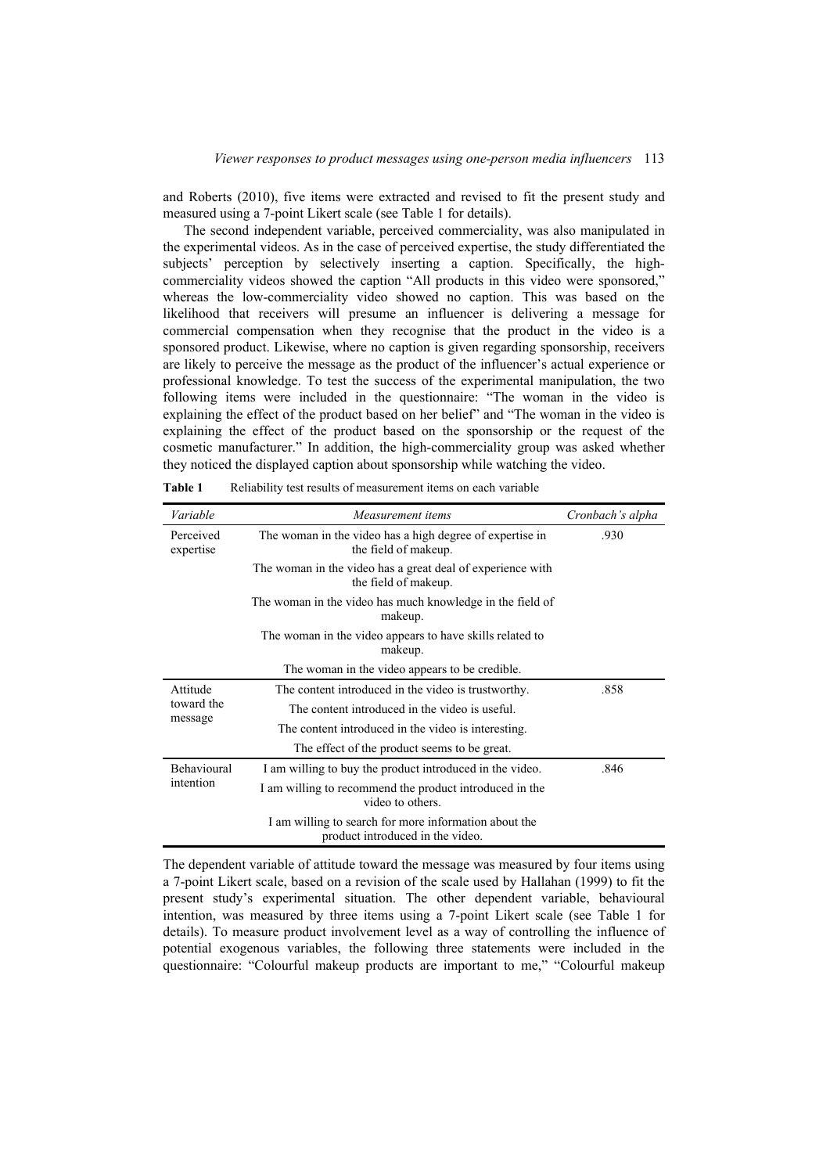and Roberts (2010), five items were extracted and revised to fit the present study and measured using a 7-point Likert scale (see Table 1 for details).

The second independent variable, perceived commerciality, was also manipulated in the experimental videos. As in the case of perceived expertise, the study differentiated the subjects' perception by selectively inserting a caption. Specifically, the highcommerciality videos showed the caption "All products in this video were sponsored," whereas the low-commerciality video showed no caption. This was based on the likelihood that receivers will presume an influencer is delivering a message for commercial compensation when they recognise that the product in the video is a sponsored product. Likewise, where no caption is given regarding sponsorship, receivers are likely to perceive the message as the product of the influencer's actual experience or professional knowledge. To test the success of the experimental manipulation, the two following items were included in the questionnaire: "The woman in the video is explaining the effect of the product based on her belief" and "The woman in the video is explaining the effect of the product based on the sponsorship or the request of the cosmetic manufacturer." In addition, the high-commerciality group was asked whether they noticed the displayed caption about sponsorship while watching the video.

| Variable                          | Measurement items                                                                         | Cronbach's alpha |
|-----------------------------------|-------------------------------------------------------------------------------------------|------------------|
| Perceived<br>expertise            | The woman in the video has a high degree of expertise in<br>the field of makeup.          | .930             |
|                                   | The woman in the video has a great deal of experience with<br>the field of makeup.        |                  |
|                                   | The woman in the video has much knowledge in the field of<br>makeup.                      |                  |
|                                   | The woman in the video appears to have skills related to<br>makeup.                       |                  |
|                                   | The woman in the video appears to be credible.                                            |                  |
| Attitude<br>toward the<br>message | The content introduced in the video is trustworthy.                                       | .858             |
|                                   | The content introduced in the video is useful.                                            |                  |
|                                   | The content introduced in the video is interesting.                                       |                  |
|                                   | The effect of the product seems to be great.                                              |                  |
| <b>Behavioural</b><br>intention   | I am willing to buy the product introduced in the video.                                  | .846             |
|                                   | I am willing to recommend the product introduced in the<br>video to others.               |                  |
|                                   | I am willing to search for more information about the<br>product introduced in the video. |                  |

**Table 1** Reliability test results of measurement items on each variable

The dependent variable of attitude toward the message was measured by four items using a 7-point Likert scale, based on a revision of the scale used by Hallahan (1999) to fit the present study's experimental situation. The other dependent variable, behavioural intention, was measured by three items using a 7-point Likert scale (see Table 1 for details). To measure product involvement level as a way of controlling the influence of potential exogenous variables, the following three statements were included in the questionnaire: "Colourful makeup products are important to me," "Colourful makeup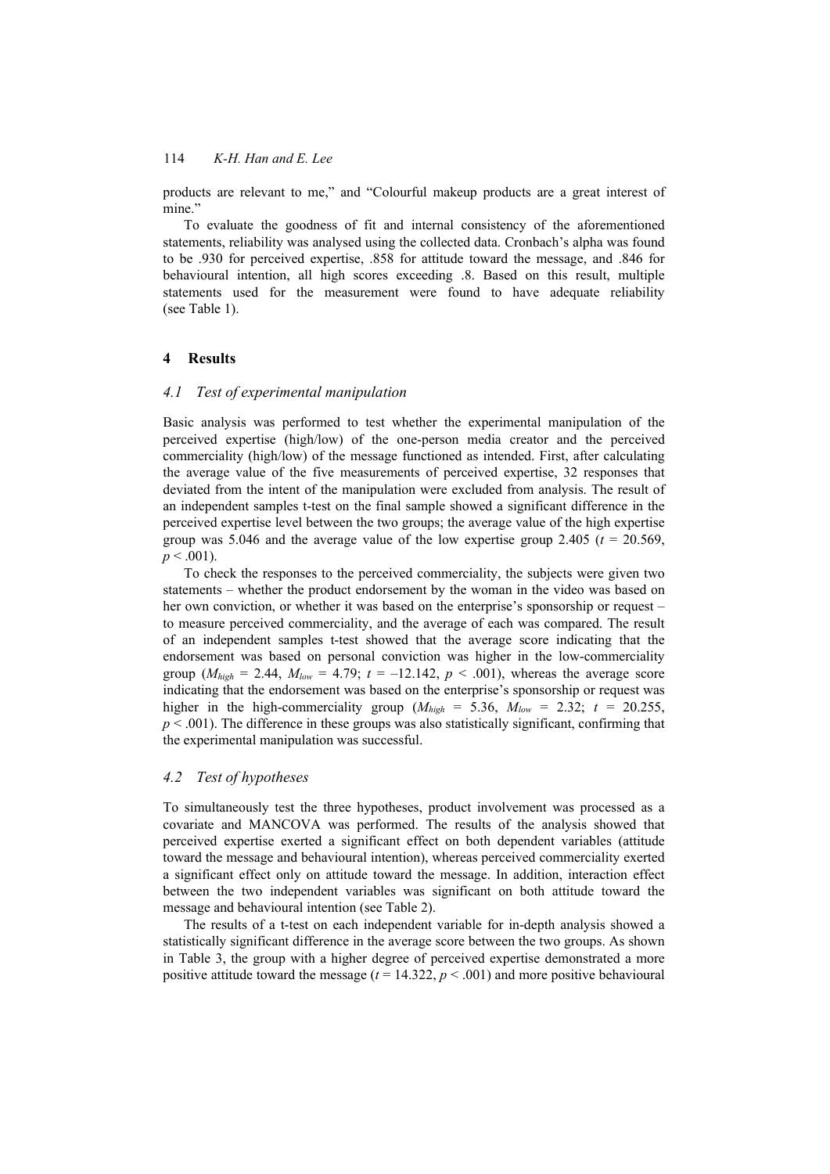products are relevant to me," and "Colourful makeup products are a great interest of mine."

To evaluate the goodness of fit and internal consistency of the aforementioned statements, reliability was analysed using the collected data. Cronbach's alpha was found to be .930 for perceived expertise, .858 for attitude toward the message, and .846 for behavioural intention, all high scores exceeding .8. Based on this result, multiple statements used for the measurement were found to have adequate reliability (see Table 1).

### **4 Results**

### *4.1 Test of experimental manipulation*

Basic analysis was performed to test whether the experimental manipulation of the perceived expertise (high/low) of the one-person media creator and the perceived commerciality (high/low) of the message functioned as intended. First, after calculating the average value of the five measurements of perceived expertise, 32 responses that deviated from the intent of the manipulation were excluded from analysis. The result of an independent samples t-test on the final sample showed a significant difference in the perceived expertise level between the two groups; the average value of the high expertise group was 5.046 and the average value of the low expertise group 2.405 ( $t = 20.569$ ,  $p < .001$ ).

To check the responses to the perceived commerciality, the subjects were given two statements – whether the product endorsement by the woman in the video was based on her own conviction, or whether it was based on the enterprise's sponsorship or request – to measure perceived commerciality, and the average of each was compared. The result of an independent samples t-test showed that the average score indicating that the endorsement was based on personal conviction was higher in the low-commerciality group  $(M_{high} = 2.44, M_{low} = 4.79; t = -12.142, p < .001)$ , whereas the average score indicating that the endorsement was based on the enterprise's sponsorship or request was higher in the high-commerciality group  $(M_{high} = 5.36, M_{low} = 2.32; t = 20.255,$  $p < .001$ ). The difference in these groups was also statistically significant, confirming that the experimental manipulation was successful.

#### *4.2 Test of hypotheses*

To simultaneously test the three hypotheses, product involvement was processed as a covariate and MANCOVA was performed. The results of the analysis showed that perceived expertise exerted a significant effect on both dependent variables (attitude toward the message and behavioural intention), whereas perceived commerciality exerted a significant effect only on attitude toward the message. In addition, interaction effect between the two independent variables was significant on both attitude toward the message and behavioural intention (see Table 2).

The results of a t-test on each independent variable for in-depth analysis showed a statistically significant difference in the average score between the two groups. As shown in Table 3, the group with a higher degree of perceived expertise demonstrated a more positive attitude toward the message  $(t = 14.322, p < .001)$  and more positive behavioural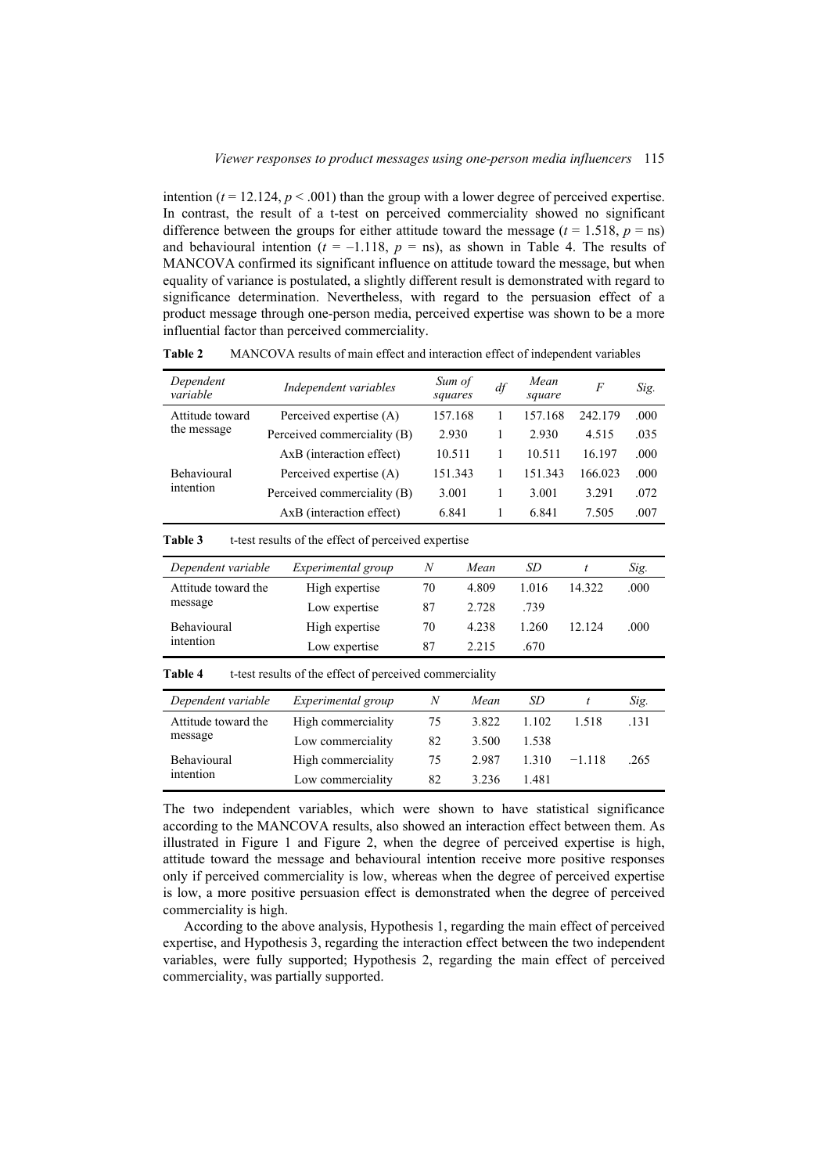intention  $(t = 12.124, p < .001)$  than the group with a lower degree of perceived expertise. In contrast, the result of a t-test on perceived commerciality showed no significant difference between the groups for either attitude toward the message  $(t = 1.518, p = ns)$ and behavioural intention  $(t = -1.118, p = \text{ns})$ , as shown in Table 4. The results of MANCOVA confirmed its significant influence on attitude toward the message, but when equality of variance is postulated, a slightly different result is demonstrated with regard to significance determination. Nevertheless, with regard to the persuasion effect of a product message through one-person media, perceived expertise was shown to be a more influential factor than perceived commerciality.

| Dependent<br>variable | Independent variables       | Sum of<br>squares | df | Mean<br>square | F       | Sig. |
|-----------------------|-----------------------------|-------------------|----|----------------|---------|------|
| Attitude toward       | Perceived expertise (A)     | 157.168           |    | 157.168        | 242.179 | .000 |
| the message           | Perceived commerciality (B) | 2.930             |    | 2.930          | 4.515   | .035 |
|                       | AxB (interaction effect)    | 10.511            |    | 10.511         | 16.197  | .000 |
| <b>Behavioural</b>    | Perceived expertise (A)     | 151.343           |    | 151.343        | 166.023 | .000 |
| intention             | Perceived commerciality (B) | 3.001             |    | 3.001          | 3.291   | .072 |
|                       | AxB (interaction effect)    | 6.841             |    | 6.841          | 7.505   | .007 |

**Table 2** MANCOVA results of main effect and interaction effect of independent variables

| <b>Table 3</b> | t-test results of the effect of perceived expertise |  |
|----------------|-----------------------------------------------------|--|
|----------------|-----------------------------------------------------|--|

| Dependent variable  | <i>Experimental group</i> | N  | Mean  | SD    |        | Sig. |
|---------------------|---------------------------|----|-------|-------|--------|------|
| Attitude toward the | High expertise            | 70 | 4.809 | 1.016 | 14.322 | .000 |
| message             | Low expertise             | 87 | 2.728 | .739  |        |      |
| Behavioural         | High expertise            | 70 | 4.238 | 1.260 | 12.124 | .000 |
| intention           | Low expertise             | 87 | 2.215 | .670  |        |      |

**Table 4** t-test results of the effect of perceived commerciality

| Dependent variable  | <i>Experimental group</i> | N  | Mean  | SD    |          | Sig. |
|---------------------|---------------------------|----|-------|-------|----------|------|
| Attitude toward the | High commerciality        | 75 | 3.822 | 1.102 | 1.518    | .131 |
| message             | Low commerciality         | 82 | 3.500 | 1.538 |          |      |
| <b>Behavioural</b>  | High commerciality        | 75 | 2.987 | 1.310 | $-1.118$ | .265 |
| intention           | Low commerciality         | 82 | 3.236 | 1.481 |          |      |

The two independent variables, which were shown to have statistical significance according to the MANCOVA results, also showed an interaction effect between them. As illustrated in Figure 1 and Figure 2, when the degree of perceived expertise is high, attitude toward the message and behavioural intention receive more positive responses only if perceived commerciality is low, whereas when the degree of perceived expertise is low, a more positive persuasion effect is demonstrated when the degree of perceived commerciality is high.

According to the above analysis, Hypothesis 1, regarding the main effect of perceived expertise, and Hypothesis 3, regarding the interaction effect between the two independent variables, were fully supported; Hypothesis 2, regarding the main effect of perceived commerciality, was partially supported.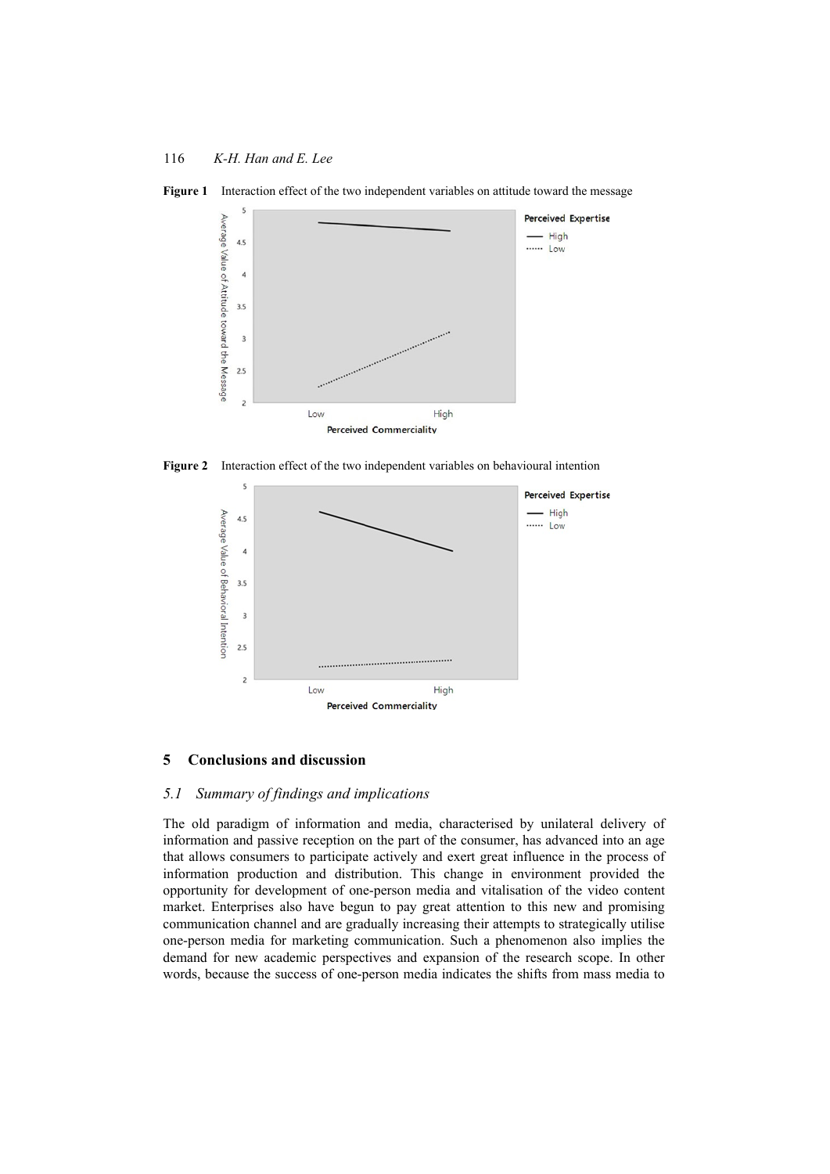



**Figure 2** Interaction effect of the two independent variables on behavioural intention



### **5 Conclusions and discussion**

### *5.1 Summary of findings and implications*

The old paradigm of information and media, characterised by unilateral delivery of information and passive reception on the part of the consumer, has advanced into an age that allows consumers to participate actively and exert great influence in the process of information production and distribution. This change in environment provided the opportunity for development of one-person media and vitalisation of the video content market. Enterprises also have begun to pay great attention to this new and promising communication channel and are gradually increasing their attempts to strategically utilise one-person media for marketing communication. Such a phenomenon also implies the demand for new academic perspectives and expansion of the research scope. In other words, because the success of one-person media indicates the shifts from mass media to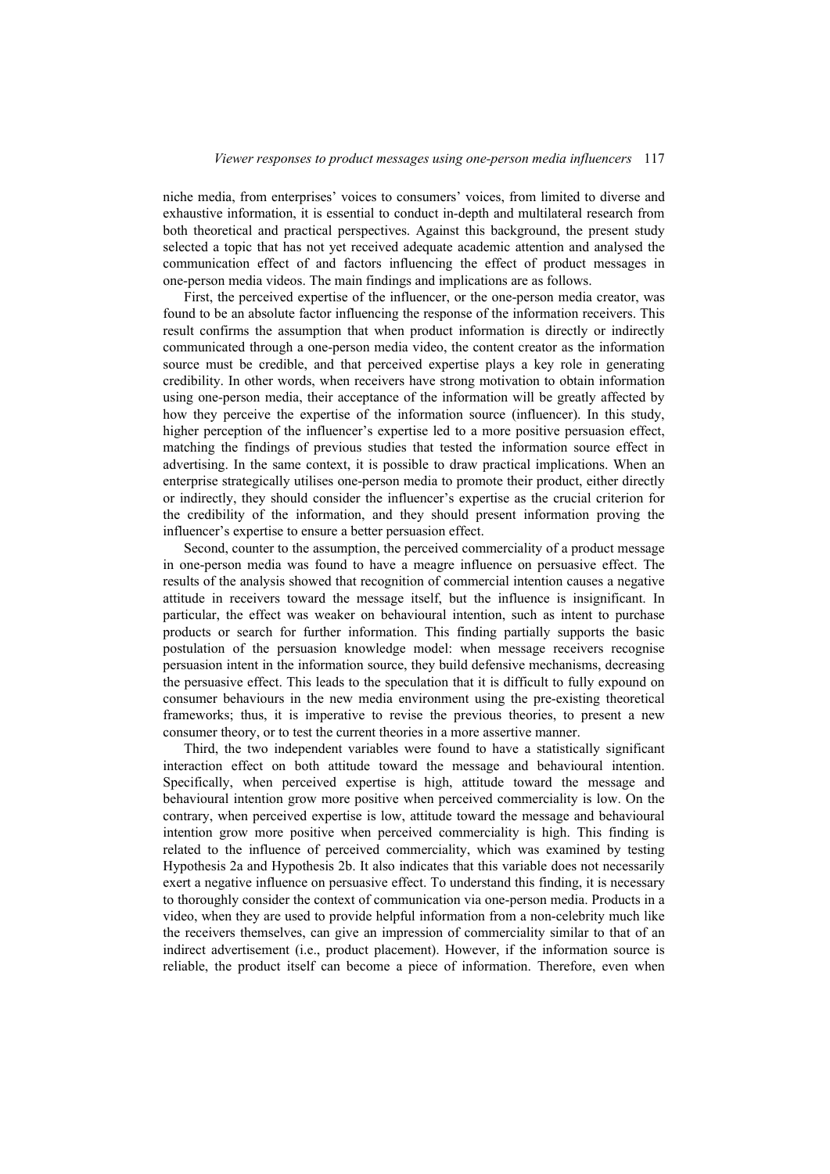niche media, from enterprises' voices to consumers' voices, from limited to diverse and exhaustive information, it is essential to conduct in-depth and multilateral research from both theoretical and practical perspectives. Against this background, the present study selected a topic that has not yet received adequate academic attention and analysed the communication effect of and factors influencing the effect of product messages in one-person media videos. The main findings and implications are as follows.

First, the perceived expertise of the influencer, or the one-person media creator, was found to be an absolute factor influencing the response of the information receivers. This result confirms the assumption that when product information is directly or indirectly communicated through a one-person media video, the content creator as the information source must be credible, and that perceived expertise plays a key role in generating credibility. In other words, when receivers have strong motivation to obtain information using one-person media, their acceptance of the information will be greatly affected by how they perceive the expertise of the information source (influencer). In this study, higher perception of the influencer's expertise led to a more positive persuasion effect, matching the findings of previous studies that tested the information source effect in advertising. In the same context, it is possible to draw practical implications. When an enterprise strategically utilises one-person media to promote their product, either directly or indirectly, they should consider the influencer's expertise as the crucial criterion for the credibility of the information, and they should present information proving the influencer's expertise to ensure a better persuasion effect.

Second, counter to the assumption, the perceived commerciality of a product message in one-person media was found to have a meagre influence on persuasive effect. The results of the analysis showed that recognition of commercial intention causes a negative attitude in receivers toward the message itself, but the influence is insignificant. In particular, the effect was weaker on behavioural intention, such as intent to purchase products or search for further information. This finding partially supports the basic postulation of the persuasion knowledge model: when message receivers recognise persuasion intent in the information source, they build defensive mechanisms, decreasing the persuasive effect. This leads to the speculation that it is difficult to fully expound on consumer behaviours in the new media environment using the pre-existing theoretical frameworks; thus, it is imperative to revise the previous theories, to present a new consumer theory, or to test the current theories in a more assertive manner.

Third, the two independent variables were found to have a statistically significant interaction effect on both attitude toward the message and behavioural intention. Specifically, when perceived expertise is high, attitude toward the message and behavioural intention grow more positive when perceived commerciality is low. On the contrary, when perceived expertise is low, attitude toward the message and behavioural intention grow more positive when perceived commerciality is high. This finding is related to the influence of perceived commerciality, which was examined by testing Hypothesis 2a and Hypothesis 2b. It also indicates that this variable does not necessarily exert a negative influence on persuasive effect. To understand this finding, it is necessary to thoroughly consider the context of communication via one-person media. Products in a video, when they are used to provide helpful information from a non-celebrity much like the receivers themselves, can give an impression of commerciality similar to that of an indirect advertisement (i.e., product placement). However, if the information source is reliable, the product itself can become a piece of information. Therefore, even when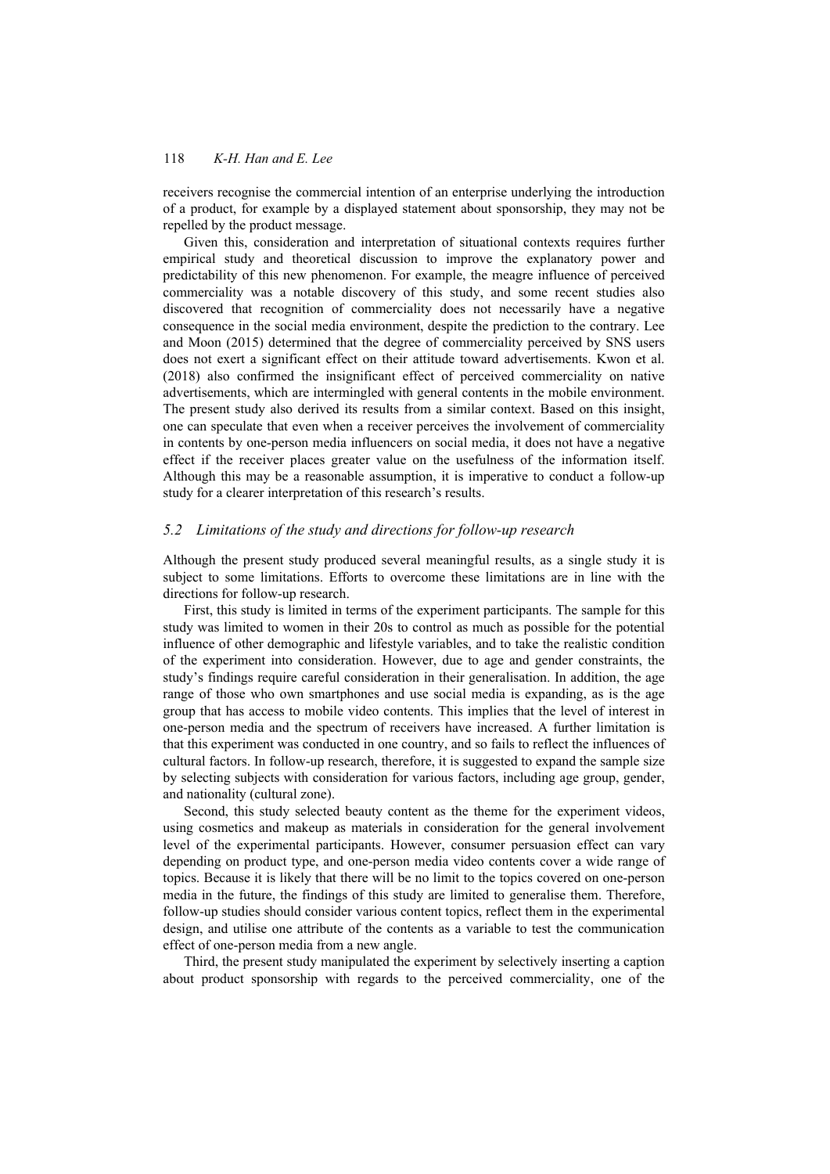receivers recognise the commercial intention of an enterprise underlying the introduction of a product, for example by a displayed statement about sponsorship, they may not be repelled by the product message.

Given this, consideration and interpretation of situational contexts requires further empirical study and theoretical discussion to improve the explanatory power and predictability of this new phenomenon. For example, the meagre influence of perceived commerciality was a notable discovery of this study, and some recent studies also discovered that recognition of commerciality does not necessarily have a negative consequence in the social media environment, despite the prediction to the contrary. Lee and Moon (2015) determined that the degree of commerciality perceived by SNS users does not exert a significant effect on their attitude toward advertisements. Kwon et al. (2018) also confirmed the insignificant effect of perceived commerciality on native advertisements, which are intermingled with general contents in the mobile environment. The present study also derived its results from a similar context. Based on this insight, one can speculate that even when a receiver perceives the involvement of commerciality in contents by one-person media influencers on social media, it does not have a negative effect if the receiver places greater value on the usefulness of the information itself. Although this may be a reasonable assumption, it is imperative to conduct a follow-up study for a clearer interpretation of this research's results.

#### *5.2 Limitations of the study and directions for follow-up research*

Although the present study produced several meaningful results, as a single study it is subject to some limitations. Efforts to overcome these limitations are in line with the directions for follow-up research.

First, this study is limited in terms of the experiment participants. The sample for this study was limited to women in their 20s to control as much as possible for the potential influence of other demographic and lifestyle variables, and to take the realistic condition of the experiment into consideration. However, due to age and gender constraints, the study's findings require careful consideration in their generalisation. In addition, the age range of those who own smartphones and use social media is expanding, as is the age group that has access to mobile video contents. This implies that the level of interest in one-person media and the spectrum of receivers have increased. A further limitation is that this experiment was conducted in one country, and so fails to reflect the influences of cultural factors. In follow-up research, therefore, it is suggested to expand the sample size by selecting subjects with consideration for various factors, including age group, gender, and nationality (cultural zone).

Second, this study selected beauty content as the theme for the experiment videos, using cosmetics and makeup as materials in consideration for the general involvement level of the experimental participants. However, consumer persuasion effect can vary depending on product type, and one-person media video contents cover a wide range of topics. Because it is likely that there will be no limit to the topics covered on one-person media in the future, the findings of this study are limited to generalise them. Therefore, follow-up studies should consider various content topics, reflect them in the experimental design, and utilise one attribute of the contents as a variable to test the communication effect of one-person media from a new angle.

Third, the present study manipulated the experiment by selectively inserting a caption about product sponsorship with regards to the perceived commerciality, one of the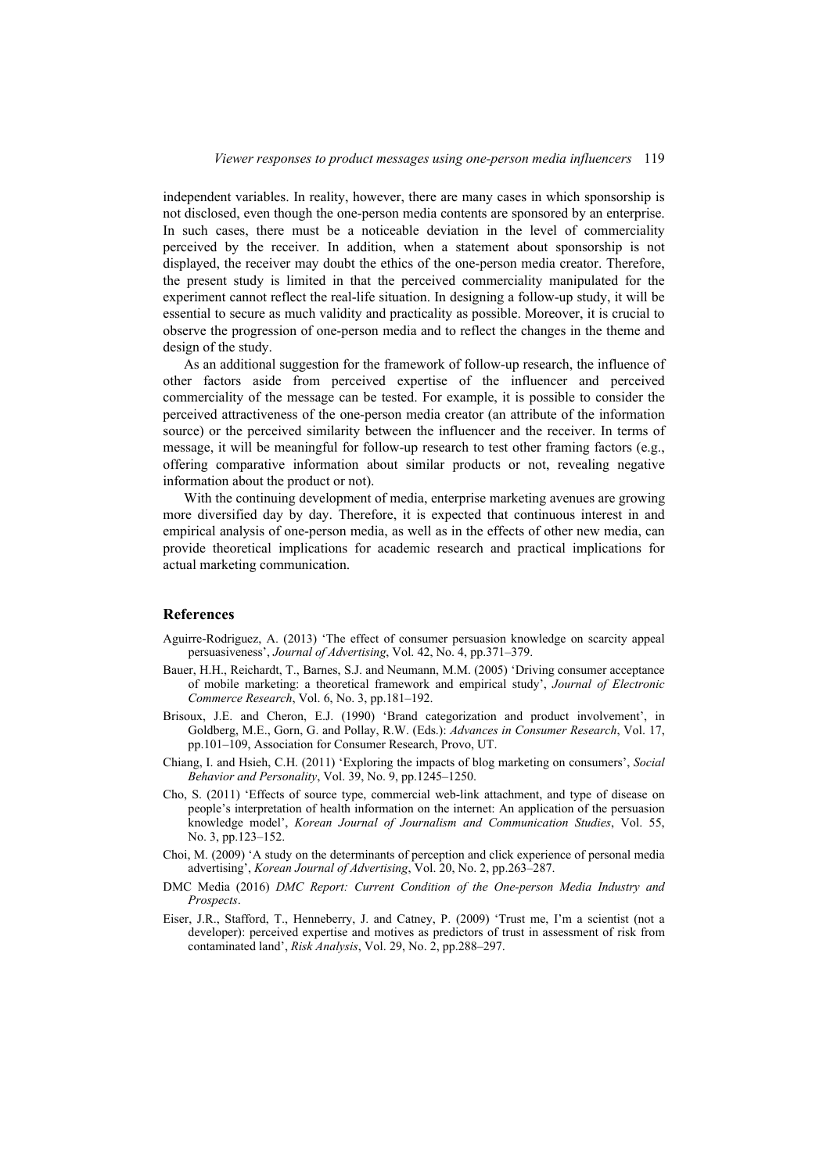independent variables. In reality, however, there are many cases in which sponsorship is not disclosed, even though the one-person media contents are sponsored by an enterprise. In such cases, there must be a noticeable deviation in the level of commerciality perceived by the receiver. In addition, when a statement about sponsorship is not displayed, the receiver may doubt the ethics of the one-person media creator. Therefore, the present study is limited in that the perceived commerciality manipulated for the experiment cannot reflect the real-life situation. In designing a follow-up study, it will be essential to secure as much validity and practicality as possible. Moreover, it is crucial to observe the progression of one-person media and to reflect the changes in the theme and design of the study.

As an additional suggestion for the framework of follow-up research, the influence of other factors aside from perceived expertise of the influencer and perceived commerciality of the message can be tested. For example, it is possible to consider the perceived attractiveness of the one-person media creator (an attribute of the information source) or the perceived similarity between the influencer and the receiver. In terms of message, it will be meaningful for follow-up research to test other framing factors (e.g., offering comparative information about similar products or not, revealing negative information about the product or not).

With the continuing development of media, enterprise marketing avenues are growing more diversified day by day. Therefore, it is expected that continuous interest in and empirical analysis of one-person media, as well as in the effects of other new media, can provide theoretical implications for academic research and practical implications for actual marketing communication.

### **References**

- Aguirre-Rodriguez, A. (2013) 'The effect of consumer persuasion knowledge on scarcity appeal persuasiveness', *Journal of Advertising*, Vol. 42, No. 4, pp.371–379.
- Bauer, H.H., Reichardt, T., Barnes, S.J. and Neumann, M.M. (2005) 'Driving consumer acceptance of mobile marketing: a theoretical framework and empirical study', *Journal of Electronic Commerce Research*, Vol. 6, No. 3, pp.181–192.
- Brisoux, J.E. and Cheron, E.J. (1990) 'Brand categorization and product involvement', in Goldberg, M.E., Gorn, G. and Pollay, R.W. (Eds.): *Advances in Consumer Research*, Vol. 17, pp.101–109, Association for Consumer Research, Provo, UT.
- Chiang, I. and Hsieh, C.H. (2011) 'Exploring the impacts of blog marketing on consumers', *Social Behavior and Personality*, Vol. 39, No. 9, pp.1245–1250.
- Cho, S. (2011) 'Effects of source type, commercial web-link attachment, and type of disease on people's interpretation of health information on the internet: An application of the persuasion knowledge model', *Korean Journal of Journalism and Communication Studies*, Vol. 55, No. 3, pp.123–152.
- Choi, M. (2009) 'A study on the determinants of perception and click experience of personal media advertising', *Korean Journal of Advertising*, Vol. 20, No. 2, pp.263–287.
- DMC Media (2016) *DMC Report: Current Condition of the One-person Media Industry and Prospects*.
- Eiser, J.R., Stafford, T., Henneberry, J. and Catney, P. (2009) 'Trust me, I'm a scientist (not a developer): perceived expertise and motives as predictors of trust in assessment of risk from contaminated land', *Risk Analysis*, Vol. 29, No. 2, pp.288–297.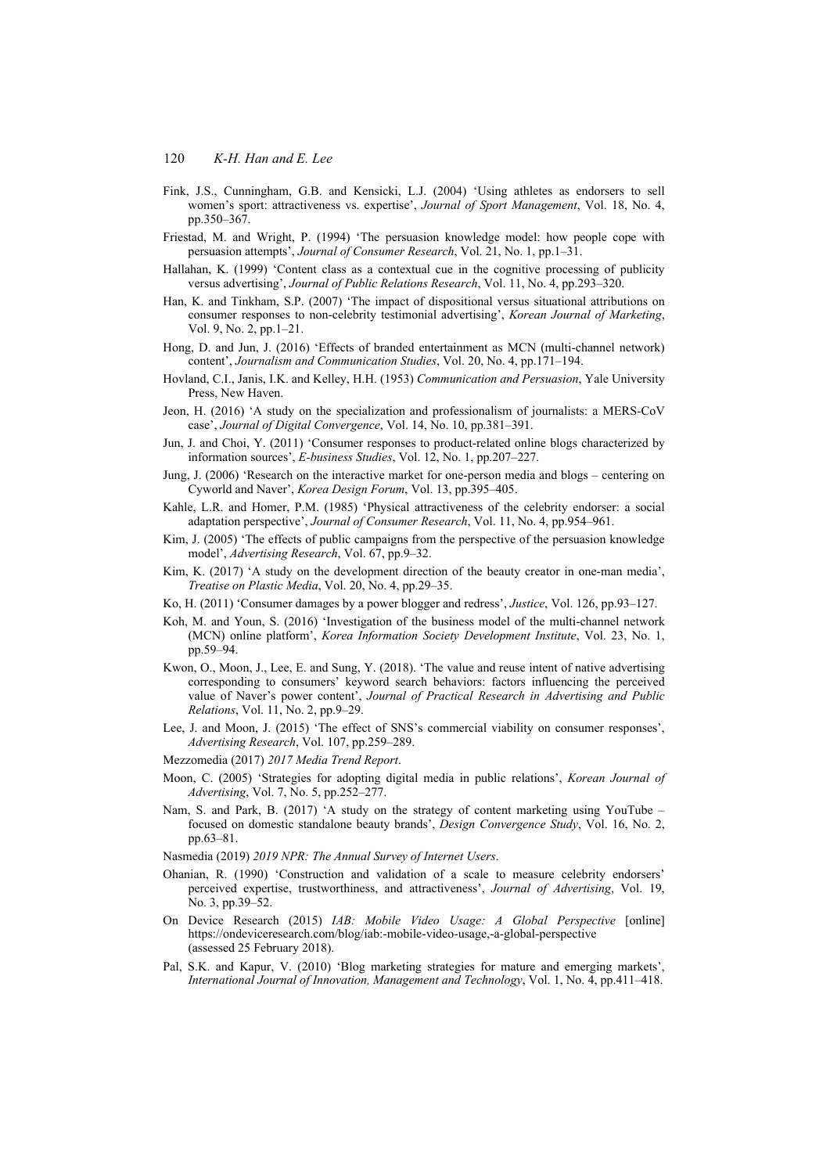- Fink, J.S., Cunningham, G.B. and Kensicki, L.J. (2004) 'Using athletes as endorsers to sell women's sport: attractiveness vs. expertise', *Journal of Sport Management*, Vol. 18, No. 4, pp.350–367.
- Friestad, M. and Wright, P. (1994) 'The persuasion knowledge model: how people cope with persuasion attempts', *Journal of Consumer Research*, Vol. 21, No. 1, pp.1–31.
- Hallahan, K. (1999) 'Content class as a contextual cue in the cognitive processing of publicity versus advertising', *Journal of Public Relations Research*, Vol. 11, No. 4, pp.293–320.
- Han, K. and Tinkham, S.P. (2007) 'The impact of dispositional versus situational attributions on consumer responses to non-celebrity testimonial advertising', *Korean Journal of Marketing*, Vol. 9, No. 2, pp.1–21.
- Hong, D. and Jun, J. (2016) 'Effects of branded entertainment as MCN (multi-channel network) content', *Journalism and Communication Studies*, Vol. 20, No. 4, pp.171–194.
- Hovland, C.I., Janis, I.K. and Kelley, H.H. (1953) *Communication and Persuasion*, Yale University Press, New Haven.
- Jeon, H. (2016) 'A study on the specialization and professionalism of journalists: a MERS-CoV case', *Journal of Digital Convergence*, Vol. 14, No. 10, pp.381–391.
- Jun, J. and Choi, Y. (2011) 'Consumer responses to product-related online blogs characterized by information sources', *E-business Studies*, Vol. 12, No. 1, pp.207–227.
- Jung, J. (2006) 'Research on the interactive market for one-person media and blogs centering on Cyworld and Naver', *Korea Design Forum*, Vol. 13, pp.395–405.
- Kahle, L.R. and Homer, P.M. (1985) 'Physical attractiveness of the celebrity endorser: a social adaptation perspective', *Journal of Consumer Research*, Vol. 11, No. 4, pp.954–961.
- Kim, J. (2005) 'The effects of public campaigns from the perspective of the persuasion knowledge model', *Advertising Research*, Vol. 67, pp.9–32.
- Kim, K. (2017) 'A study on the development direction of the beauty creator in one-man media', *Treatise on Plastic Media*, Vol. 20, No. 4, pp.29–35.
- Ko, H. (2011) 'Consumer damages by a power blogger and redress', *Justice*, Vol. 126, pp.93–127.
- Koh, M. and Youn, S. (2016) 'Investigation of the business model of the multi-channel network (MCN) online platform', *Korea Information Society Development Institute*, Vol. 23, No. 1, pp.59–94.
- Kwon, O., Moon, J., Lee, E. and Sung, Y. (2018). 'The value and reuse intent of native advertising corresponding to consumers' keyword search behaviors: factors influencing the perceived value of Naver's power content', *Journal of Practical Research in Advertising and Public Relations*, Vol. 11, No. 2, pp.9–29.
- Lee, J. and Moon, J. (2015) 'The effect of SNS's commercial viability on consumer responses', *Advertising Research*, Vol. 107, pp.259–289.
- Mezzomedia (2017) *2017 Media Trend Report*.
- Moon, C. (2005) 'Strategies for adopting digital media in public relations', *Korean Journal of Advertising*, Vol. 7, No. 5, pp.252–277.
- Nam, S. and Park, B. (2017) 'A study on the strategy of content marketing using YouTube focused on domestic standalone beauty brands', *Design Convergence Study*, Vol. 16, No. 2, pp.63–81.
- Nasmedia (2019) *2019 NPR: The Annual Survey of Internet Users*.
- Ohanian, R. (1990) 'Construction and validation of a scale to measure celebrity endorsers' perceived expertise, trustworthiness, and attractiveness', *Journal of Advertising*, Vol. 19, No. 3, pp.39–52.
- On Device Research (2015) *IAB: Mobile Video Usage: A Global Perspective* [online] https://ondeviceresearch.com/blog/iab:-mobile-video-usage,-a-global-perspective (assessed 25 February 2018).
- Pal, S.K. and Kapur, V. (2010) 'Blog marketing strategies for mature and emerging markets', *International Journal of Innovation, Management and Technology*, Vol. 1, No. 4, pp.411–418.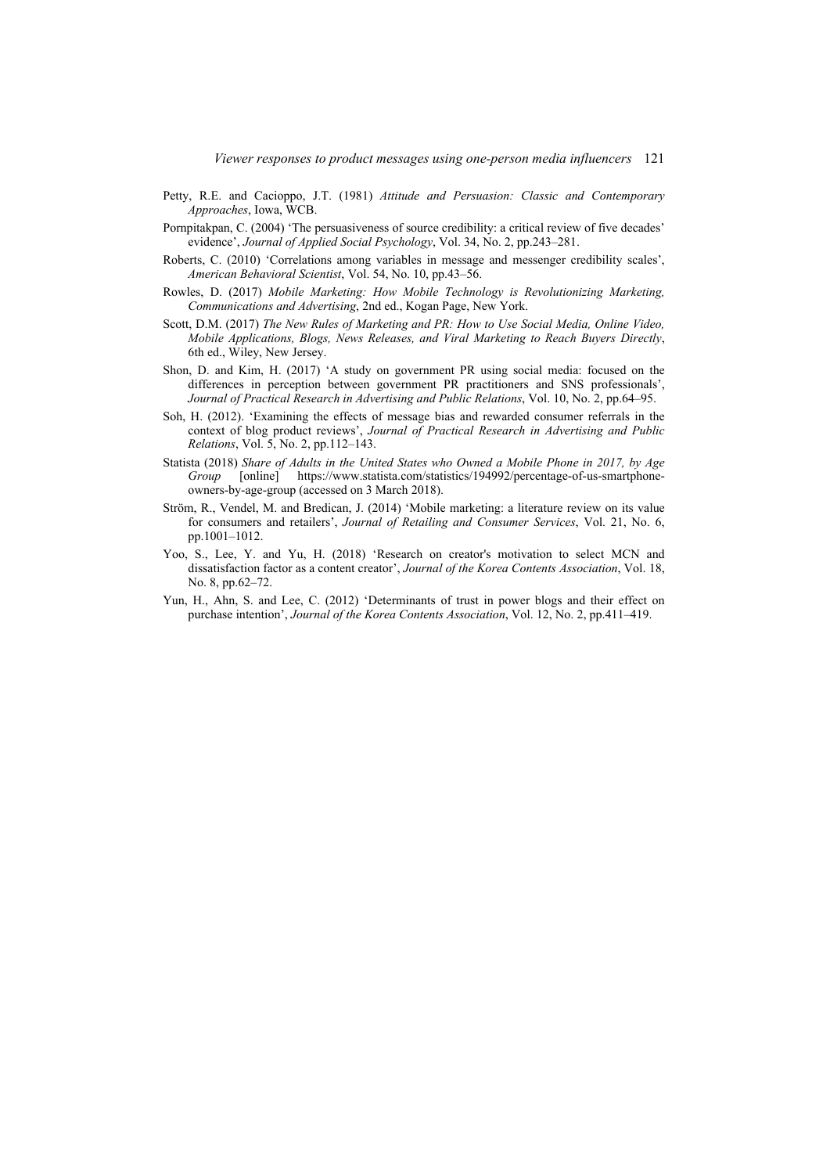- Petty, R.E. and Cacioppo, J.T. (1981) *Attitude and Persuasion: Classic and Contemporary Approaches*, Iowa, WCB.
- Pornpitakpan, C. (2004) 'The persuasiveness of source credibility: a critical review of five decades' evidence', *Journal of Applied Social Psychology*, Vol. 34, No. 2, pp.243–281.
- Roberts, C. (2010) 'Correlations among variables in message and messenger credibility scales', *American Behavioral Scientist*, Vol. 54, No. 10, pp.43–56.
- Rowles, D. (2017) *Mobile Marketing: How Mobile Technology is Revolutionizing Marketing, Communications and Advertising*, 2nd ed., Kogan Page, New York.
- Scott, D.M. (2017) *The New Rules of Marketing and PR: How to Use Social Media, Online Video, Mobile Applications, Blogs, News Releases, and Viral Marketing to Reach Buyers Directly*, 6th ed., Wiley, New Jersey.
- Shon, D. and Kim, H. (2017) 'A study on government PR using social media: focused on the differences in perception between government PR practitioners and SNS professionals', *Journal of Practical Research in Advertising and Public Relations*, Vol. 10, No. 2, pp.64–95.
- Soh, H. (2012). 'Examining the effects of message bias and rewarded consumer referrals in the context of blog product reviews', *Journal of Practical Research in Advertising and Public Relations*, Vol. 5, No. 2, pp.112–143.
- Statista (2018) *Share of Adults in the United States who Owned a Mobile Phone in 2017, by Age Group* [online] https://www.statista.com/statistics/194992/percentage-of-us-smartphoneowners-by-age-group (accessed on 3 March 2018).
- Ström, R., Vendel, M. and Bredican, J. (2014) 'Mobile marketing: a literature review on its value for consumers and retailers', *Journal of Retailing and Consumer Services*, Vol. 21, No. 6, pp.1001–1012.
- Yoo, S., Lee, Y. and Yu, H. (2018) 'Research on creator's motivation to select MCN and dissatisfaction factor as a content creator', *Journal of the Korea Contents Association*, Vol. 18, No. 8, pp.62–72.
- Yun, H., Ahn, S. and Lee, C. (2012) 'Determinants of trust in power blogs and their effect on purchase intention', *Journal of the Korea Contents Association*, Vol. 12, No. 2, pp.411–419.